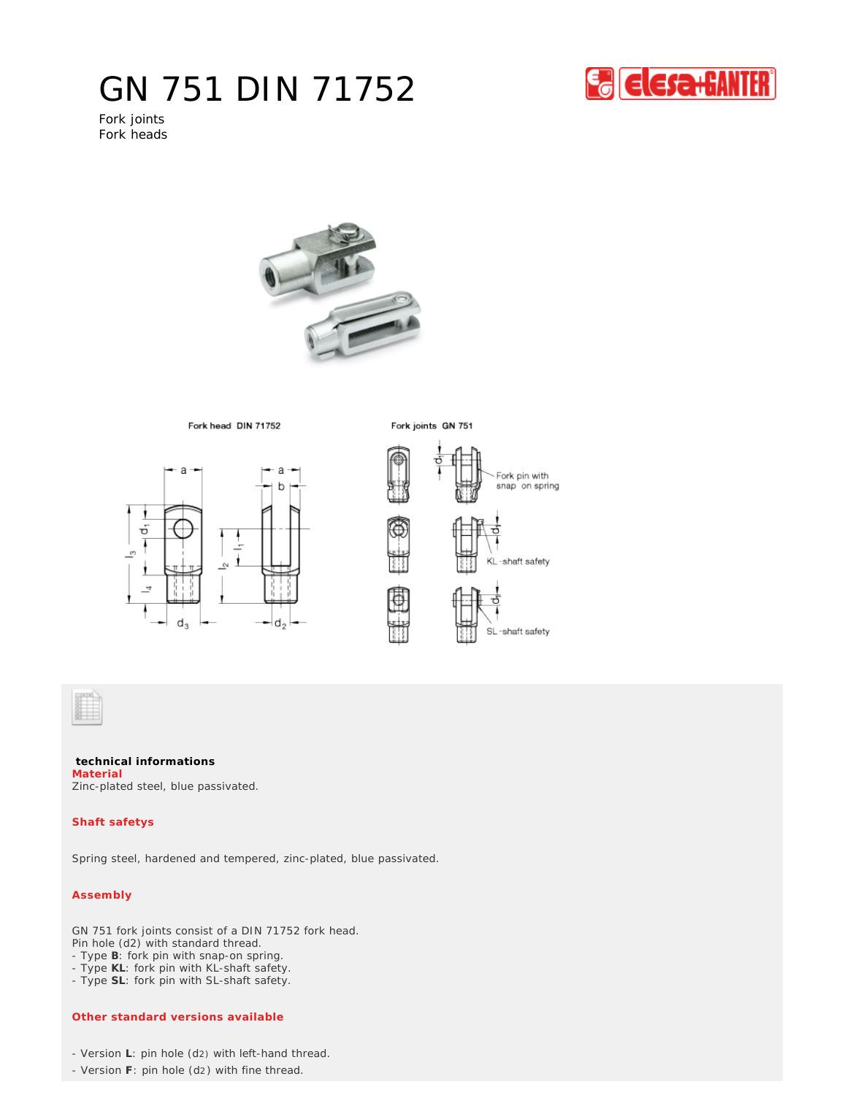## GN 751 DIN 71752



Fork joints Fork heads



Fork head DIN 71752



Fork joints GN 751



**technical informations** Zinc-plated steel, blue passivated. **Material**

## **Shaft safetys**

Spring steel, hardened and tempered, zinc-plated, blue passivated.

## **Assembly**

GN 751 fork joints consist of a DIN 71752 fork head. Pin hole (d2) with standard thread.

- Type **B**: fork pin with snap-on spring.
- Type **KL**: fork pin with KL-shaft safety.
- Type **SL**: fork pin with SL-shaft safety.

## **Other standard versions available**

- Version **L**: pin hole (d2) with left-hand thread.
- Version **F**: pin hole (d2) with fine thread.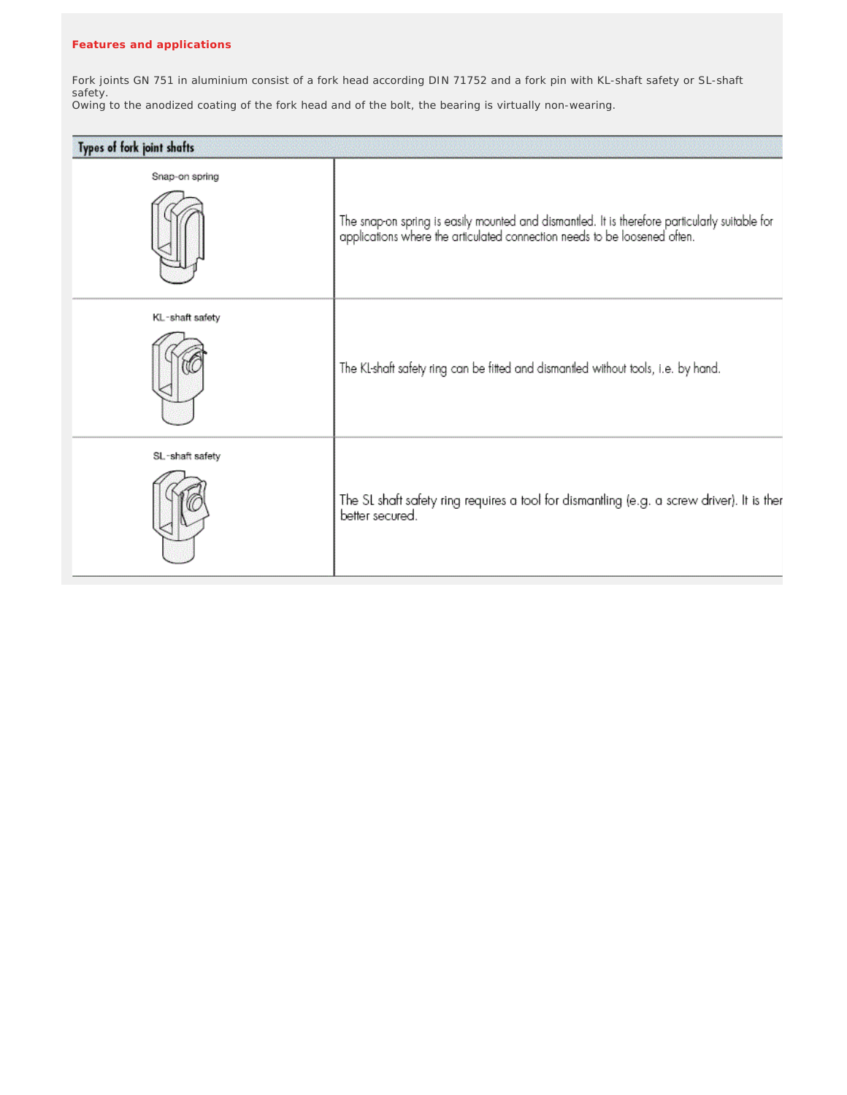Fork joints GN 751 in aluminium consist of a fork head according DIN 71752 and a fork pin with KL-shaft safety or SL-shaft safety. Owing to the anodized coating of the fork head and of the bolt, the bearing is virtually non-wearing.

| Types of fork joint shafts |                                                                                                                                                                             |
|----------------------------|-----------------------------------------------------------------------------------------------------------------------------------------------------------------------------|
| Snap-on spring             | The snap-on spring is easily mounted and dismantled. It is therefore particularly suitable for<br>applications where the articulated connection needs to be loosened often. |
| KL-shaft safety            | The KL-shaft safety ring can be fitted and dismantled without tools, i.e. by hand.                                                                                          |
| SL-shaft safety            | The SL shaft safety ring requires a tool for dismantling (e.g. a screw driver). It is ther<br>better secured.                                                               |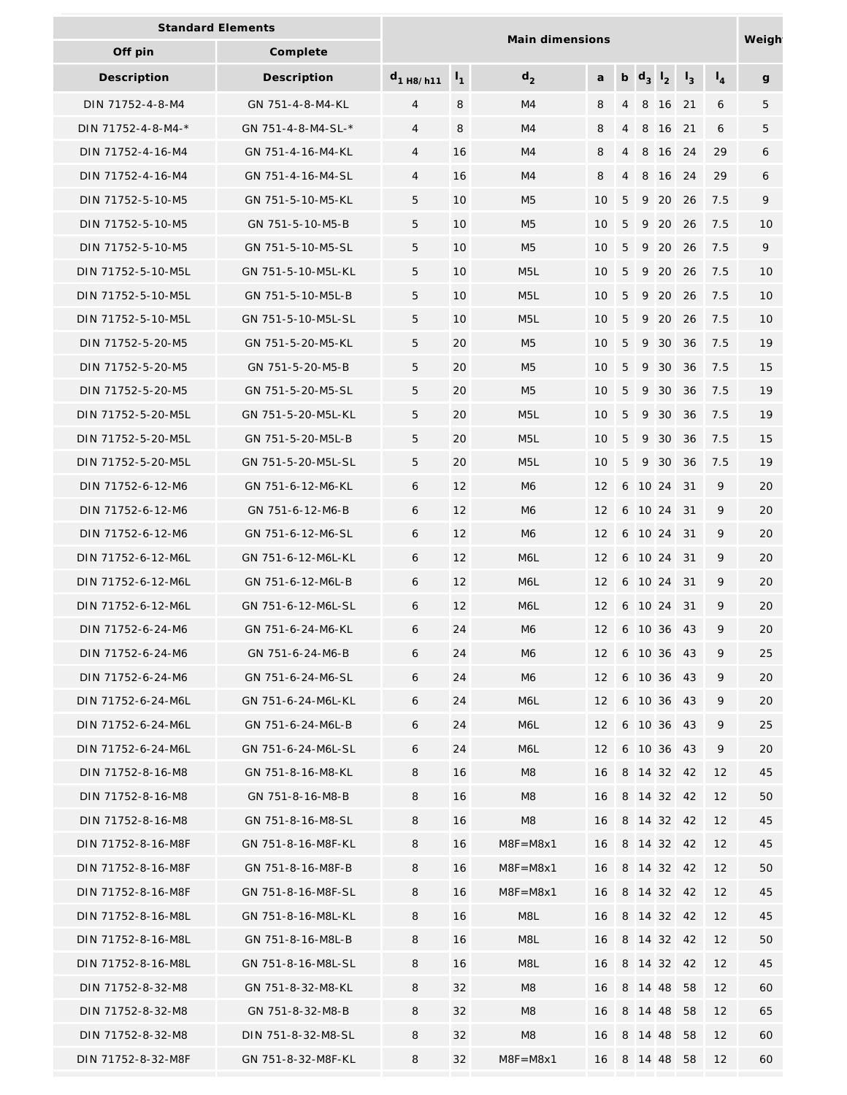| <b>Standard Elements</b> |                    | Main dimensions |                |                  |                   |                |         |                 |       |                | Weigh |
|--------------------------|--------------------|-----------------|----------------|------------------|-------------------|----------------|---------|-----------------|-------|----------------|-------|
| Off pin                  | Complete           |                 |                |                  |                   |                |         |                 |       |                |       |
| Description              | Description        | $d_{1}$ H8/h11  | $\mathsf{I}_1$ | d <sub>2</sub>   | a                 |                | b $d_3$ | $1\overline{2}$ | $I_3$ | $\mathsf{I}_4$ | g     |
| DIN 71752-4-8-M4         | GN 751-4-8-M4-KL   | 4               | 8              | M4               | 8                 | 4              | 8       | 16              | 21    | 6              | 5     |
| DIN 71752-4-8-M4-*       | GN 751-4-8-M4-SL-* | $\overline{4}$  | 8              | M4               | 8                 | $\overline{4}$ | 8       | 16              | 21    | 6              | 5     |
| DIN 71752-4-16-M4        | GN 751-4-16-M4-KL  | 4               | 16             | M4               | 8                 | 4              | 8       | 16              | 24    | 29             | 6     |
| DIN 71752-4-16-M4        | GN 751-4-16-M4-SL  | 4               | 16             | M4               | 8                 | $\overline{4}$ | 8       | 16              | 24    | 29             | 6     |
| DIN 71752-5-10-M5        | GN 751-5-10-M5-KL  | 5               | 10             | M <sub>5</sub>   | 10                | 5              | 9       | 20              | 26    | 7.5            | 9     |
| DIN 71752-5-10-M5        | GN 751-5-10-M5-B   | 5               | 10             | M <sub>5</sub>   | 10                | 5              | 9       | 20              | 26    | 7.5            | 10    |
| DIN 71752-5-10-M5        | GN 751-5-10-M5-SL  | 5               | 10             | M <sub>5</sub>   | 10                | 5              | 9       | 20              | 26    | 7.5            | 9     |
| DIN 71752-5-10-M5L       | GN 751-5-10-M5L-KL | 5               | 10             | M <sub>5</sub> L | 10                | 5              | 9       | 20              | 26    | 7.5            | 10    |
| DIN 71752-5-10-M5L       | GN 751-5-10-M5L-B  | 5               | 10             | M <sub>5</sub> L | 10                | 5              | 9       | 20              | 26    | 7.5            | 10    |
| DIN 71752-5-10-M5L       | GN 751-5-10-M5L-SL | 5               | 10             | M <sub>5</sub> L | 10                | 5              | 9       | 20              | 26    | 7.5            | 10    |
| DIN 71752-5-20-M5        | GN 751-5-20-M5-KL  | 5               | 20             | M <sub>5</sub>   | 10                | 5              | 9       | 30              | 36    | 7.5            | 19    |
| DIN 71752-5-20-M5        | GN 751-5-20-M5-B   | 5               | 20             | M <sub>5</sub>   | 10                | 5              | 9       | 30              | 36    | 7.5            | 15    |
| DIN 71752-5-20-M5        | GN 751-5-20-M5-SL  | 5               | 20             | M <sub>5</sub>   | 10                | 5              | 9       | 30              | 36    | 7.5            | 19    |
| DIN 71752-5-20-M5L       | GN 751-5-20-M5L-KL | 5               | 20             | M <sub>5</sub> L | 10                | 5              | 9       | 30              | 36    | 7.5            | 19    |
| DIN 71752-5-20-M5L       | GN 751-5-20-M5L-B  | 5               | 20             | M <sub>5</sub> L | 10                | 5              | 9       | 30              | 36    | 7.5            | 15    |
| DIN 71752-5-20-M5L       | GN 751-5-20-M5L-SL | 5               | 20             | M <sub>5</sub> L | 10                | 5              | 9       | 30              | 36    | 7.5            | 19    |
| DIN 71752-6-12-M6        | GN 751-6-12-M6-KL  | 6               | 12             | M <sub>6</sub>   | 12                | 6              | 10 24   |                 | 31    | 9              | 20    |
| DIN 71752-6-12-M6        | GN 751-6-12-M6-B   | 6               | 12             | M <sub>6</sub>   | 12                | 6              | 10 24   |                 | 31    | 9              | 20    |
| DIN 71752-6-12-M6        | GN 751-6-12-M6-SL  | 6               | 12             | M <sub>6</sub>   | 12                | 6              | 10 24   |                 | 31    | 9              | 20    |
| DIN 71752-6-12-M6L       | GN 751-6-12-M6L-KL | 6               | 12             | M6L              | 12                | 6              | 10 24   |                 | 31    | 9              | 20    |
| DIN 71752-6-12-M6L       | GN 751-6-12-M6L-B  | 6               | 12             | M6L              | 12                | 6              | 10 24   |                 | 31    | 9              | 20    |
| DIN 71752-6-12-M6L       | GN 751-6-12-M6L-SL | 6               | 12             | M6L              | 12                |                | 6 10 24 |                 | 31    | 9              | 20    |
| DIN 71752-6-24-M6        | GN 751-6-24-M6-KL  | 6               | 24             | M6               | $12 \overline{ }$ |                | 6 10 36 |                 | -43   | 9              | 20    |
| DIN 71752-6-24-M6        | GN 751-6-24-M6-B   | 6               | 24             | M6               | 12                |                |         | 6 10 36 43      |       | 9              | 25    |
| DIN 71752-6-24-M6        | GN 751-6-24-M6-SL  | 6               | 24             | M6               | 12                |                |         | 6 10 36 43      |       | 9              | 20    |
| DIN 71752-6-24-M6L       | GN 751-6-24-M6L-KL | 6               | 24             | M6L              | 12                |                | 6 10 36 |                 | 43    | 9              | 20    |
| DIN 71752-6-24-M6L       | GN 751-6-24-M6L-B  | 6               | 24             | M6L              | 12                |                | 6 10 36 |                 | 43    | 9              | 25    |
| DIN 71752-6-24-M6L       | GN 751-6-24-M6L-SL | 6               | 24             | M6L              | 12                |                | 6 10 36 |                 | 43    | 9              | 20    |
| DIN 71752-8-16-M8        | GN 751-8-16-M8-KL  | 8               | 16             | M8               | 16                |                |         | 8 14 32 42      |       | 12             | 45    |
| DIN 71752-8-16-M8        | GN 751-8-16-M8-B   | 8               | 16             | M <sub>8</sub>   | 16                |                |         | 8 14 32 42      |       | 12             | 50    |
| DIN 71752-8-16-M8        | GN 751-8-16-M8-SL  | 8               | 16             | M8               | 16                |                |         | 8 14 32 42      |       | 12             | 45    |
| DIN 71752-8-16-M8F       | GN 751-8-16-M8F-KL | 8               | 16             | $M8F = M8x1$     | 16                |                |         | 8 14 32 42      |       | 12             | 45    |
| DIN 71752-8-16-M8F       | GN 751-8-16-M8F-B  | 8               | 16             | $M8F = M8x1$     | 16                |                |         | 8 14 32 42      |       | 12             | 50    |
| DIN 71752-8-16-M8F       | GN 751-8-16-M8F-SL | 8               | 16             | $M8F = M8x1$     | 16                |                | 8 14 32 |                 | -42   | 12             | 45    |
| DIN 71752-8-16-M8L       | GN 751-8-16-M8L-KL | 8               | 16             | M8L              | 16                |                |         | 8 14 32 42      |       | 12             | 45    |
| DIN 71752-8-16-M8L       | GN 751-8-16-M8L-B  | 8               | 16             | M8L              | 16                |                |         | 8 14 32 42      |       | 12             | 50    |
| DIN 71752-8-16-M8L       | GN 751-8-16-M8L-SL | 8               | 16             | M8L              | 16                |                |         | 8 14 32 42      |       | 12             | 45    |
| DIN 71752-8-32-M8        | GN 751-8-32-M8-KL  | 8               | 32             | M8               | 16                |                | 8 14 48 |                 | 58    | 12             | 60    |
| DIN 71752-8-32-M8        | GN 751-8-32-M8-B   | 8               | 32             | M8               | 16                |                | 8 14 48 |                 | 58    | 12             | 65    |
| DIN 71752-8-32-M8        | DIN 751-8-32-M8-SL | 8               | 32             | M <sub>8</sub>   | 16                |                |         | 8 14 48         | 58    | 12             | 60    |
| DIN 71752-8-32-M8F       | GN 751-8-32-M8F-KL | 8               | 32             | $M8F = M8x1$     | 16                |                | 8 14 48 |                 | 58    | 12             | 60    |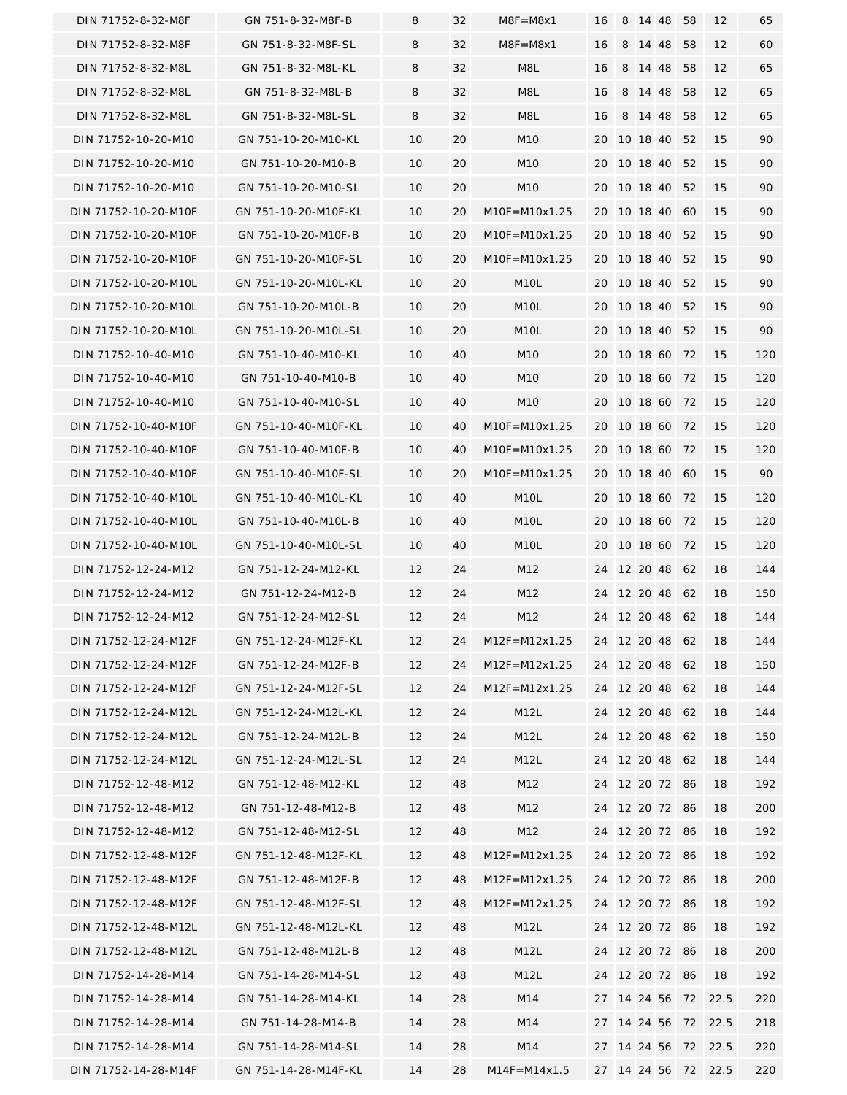| DIN 71752-8-32-M8F   | GN 751-8-32-M8F-B    | 8  | 32 | $M8F = M8x1$      | 16 | 8 | 14 48    |                | 58             | 12                  | 65  |
|----------------------|----------------------|----|----|-------------------|----|---|----------|----------------|----------------|---------------------|-----|
| DIN 71752-8-32-M8F   | GN 751-8-32-M8F-SL   | 8  | 32 | $M8F = M8x1$      | 16 |   | 8 14 48  |                | 58             | 12                  | 60  |
| DIN 71752-8-32-M8L   | GN 751-8-32-M8L-KL   | 8  | 32 | M8L               | 16 |   | 8 14 48  |                | 58             | 12                  | 65  |
| DIN 71752-8-32-M8L   | GN 751-8-32-M8L-B    | 8  | 32 | M8L               | 16 |   |          | 8 14 48        | 58             | 12                  | 65  |
| DIN 71752-8-32-M8L   | GN 751-8-32-M8L-SL   | 8  | 32 | M8L               | 16 |   | 8 14 48  |                | 58             | 12                  | 65  |
| DIN 71752-10-20-M10  | GN 751-10-20-M10-KL  | 10 | 20 | M10               | 20 |   |          | 10 18 40       | 52             | 15                  | 90  |
| DIN 71752-10-20-M10  | GN 751-10-20-M10-B   | 10 | 20 | M <sub>10</sub>   | 20 |   | 10 18 40 |                | 52             | 15                  | 90  |
| DIN 71752-10-20-M10  | GN 751-10-20-M10-SL  | 10 | 20 | M <sub>10</sub>   | 20 |   |          | 10 18 40       | 52             | 15                  | 90  |
| DIN 71752-10-20-M10F | GN 751-10-20-M10F-KL | 10 | 20 | $M10F = M10x1.25$ | 20 |   |          | 10 18 40       | 60             | 15                  | 90  |
| DIN 71752-10-20-M10F | GN 751-10-20-M10F-B  | 10 | 20 | $M10F = M10x1.25$ | 20 |   | 10 18 40 |                | 52             | 15                  | 90  |
| DIN 71752-10-20-M10F | GN 751-10-20-M10F-SL | 10 | 20 | $M10F = M10x1.25$ | 20 |   | 10 18 40 |                | 52             | 15                  | 90  |
| DIN 71752-10-20-M10L | GN 751-10-20-M10L-KL | 10 | 20 | M <sub>1</sub> OL | 20 |   | 10 18 40 |                | 52             | 15                  | 90  |
| DIN 71752-10-20-M10L | GN 751-10-20-M10L-B  | 10 | 20 | M <sub>1</sub> OL | 20 |   |          | 10 18 40       | 52             | 15                  | 90  |
| DIN 71752-10-20-M10L | GN 751-10-20-M10L-SL | 10 | 20 | M <sub>1</sub> OL | 20 |   |          | 10 18 40       | 52             | 15                  | 90  |
| DIN 71752-10-40-M10  | GN 751-10-40-M10-KL  | 10 | 40 | M <sub>10</sub>   | 20 |   |          | 10 18 60       | 72             | 15                  | 120 |
| DIN 71752-10-40-M10  | GN 751-10-40-M10-B   | 10 | 40 | M <sub>10</sub>   | 20 |   | 10 18 60 |                | -72            | 15                  | 120 |
| DIN 71752-10-40-M10  | GN 751-10-40-M10-SL  | 10 | 40 | M <sub>10</sub>   | 20 |   | 10 18 60 |                | -72            | 15                  | 120 |
| DIN 71752-10-40-M10F | GN 751-10-40-M10F-KL | 10 | 40 | $M10F = M10x1.25$ | 20 |   | 10 18 60 |                | -72            | 15                  | 120 |
| DIN 71752-10-40-M10F | GN 751-10-40-M10F-B  | 10 | 40 | $M10F = M10x1.25$ | 20 |   | 10 18 60 |                | -72            | 15                  | 120 |
| DIN 71752-10-40-M10F | GN 751-10-40-M10F-SL | 10 | 20 | M10F=M10x1.25     | 20 |   | 10 18 40 |                | 60             | 15                  | 90  |
| DIN 71752-10-40-M10L | GN 751-10-40-M10L-KL | 10 | 40 | M <sub>1</sub> OL | 20 |   | 10 18 60 |                | -72            | 15                  | 120 |
| DIN 71752-10-40-M10L | GN 751-10-40-M10L-B  | 10 | 40 | M <sub>1</sub> OL | 20 |   |          | 10 18 60 72    |                | 15                  | 120 |
| DIN 71752-10-40-M10L | GN 751-10-40-M10L-SL | 10 | 40 | M <sub>1</sub> OL | 20 |   | 10 18 60 |                | -72            | 15                  | 120 |
| DIN 71752-12-24-M12  | GN 751-12-24-M12-KL  | 12 | 24 | M12               | 24 |   |          | 12 20 48       | 62             | 18                  | 144 |
| DIN 71752-12-24-M12  | GN 751-12-24-M12-B   | 12 | 24 | M12               | 24 |   | 12 20 48 |                | 62             | 18                  | 150 |
| DIN 71752-12-24-M12  | GN 751-12-24-M12-SL  | 12 | 24 | M12               | 24 |   |          | 12 20 48 62    |                | 18                  | 144 |
| DIN 71752-12-24-M12F | GN 751-12-24-M12F-KL | 12 | 24 | $M12F = M12x1.25$ |    |   |          | 24 12 20 48 62 |                | 18                  | 144 |
| DIN 71752-12-24-M12F | GN 751-12-24-M12F-B  | 12 | 24 | $M12F = M12x1.25$ |    |   |          | 24 12 20 48 62 |                | 18                  | 150 |
| DIN 71752-12-24-M12F | GN 751-12-24-M12F-SL | 12 | 24 | $M12F = M12x1.25$ |    |   |          | 24 12 20 48    | 62             | 18                  | 144 |
| DIN 71752-12-24-M12L | GN 751-12-24-M12L-KL | 12 | 24 | M <sub>12</sub> L |    |   |          | 24 12 20 48 62 |                | 18                  | 144 |
| DIN 71752-12-24-M12L | GN 751-12-24-M12L-B  | 12 | 24 | M <sub>12</sub> L |    |   |          | 24 12 20 48 62 |                | 18                  | 150 |
| DIN 71752-12-24-M12L | GN 751-12-24-M12L-SL | 12 | 24 | M <sub>12</sub> L |    |   |          | 24 12 20 48 62 |                | 18                  | 144 |
| DIN 71752-12-48-M12  | GN 751-12-48-M12-KL  | 12 | 48 | M12               | 24 |   |          | 12 20 72 86    |                | 18                  | 192 |
| DIN 71752-12-48-M12  | GN 751-12-48-M12-B   | 12 | 48 | M12               |    |   |          | 24 12 20 72 86 |                | 18                  | 200 |
| DIN 71752-12-48-M12  | GN 751-12-48-M12-SL  | 12 | 48 | M12               | 24 |   |          | 12 20 72 86    |                | 18                  | 192 |
| DIN 71752-12-48-M12F | GN 751-12-48-M12F-KL | 12 | 48 | $M12F = M12x1.25$ | 24 |   |          | 12 20 72 86    |                | 18                  | 192 |
| DIN 71752-12-48-M12F | GN 751-12-48-M12F-B  | 12 | 48 | $M12F = M12x1.25$ |    |   |          | 24 12 20 72 86 |                | 18                  | 200 |
| DIN 71752-12-48-M12F | GN 751-12-48-M12F-SL | 12 | 48 | $M12F = M12x1.25$ |    |   |          | 24 12 20 72 86 |                | 18                  | 192 |
| DIN 71752-12-48-M12L | GN 751-12-48-M12L-KL | 12 | 48 | M <sub>12</sub> L |    |   |          | 24 12 20 72 86 |                | 18                  | 192 |
| DIN 71752-12-48-M12L | GN 751-12-48-M12L-B  | 12 | 48 | M <sub>12</sub> L |    |   |          | 24 12 20 72 86 |                | 18                  | 200 |
| DIN 71752-14-28-M14  | GN 751-14-28-M14-SL  | 12 | 48 | M <sub>12</sub> L |    |   |          | 24 12 20 72 86 |                | 18                  | 192 |
| DIN 71752-14-28-M14  | GN 751-14-28-M14-KL  | 14 | 28 | M14               | 27 |   |          |                | 14 24 56 72    | 22.5                | 220 |
| DIN 71752-14-28-M14  | GN 751-14-28-M14-B   | 14 | 28 | M14               |    |   |          |                | 27 14 24 56 72 | 22.5                | 218 |
| DIN 71752-14-28-M14  | GN 751-14-28-M14-SL  | 14 | 28 | M14               |    |   |          |                | 27 14 24 56 72 | 22.5                | 220 |
| DIN 71752-14-28-M14F | GN 751-14-28-M14F-KL | 14 | 28 | $M14F = M14x1.5$  |    |   |          |                |                | 27 14 24 56 72 22.5 | 220 |